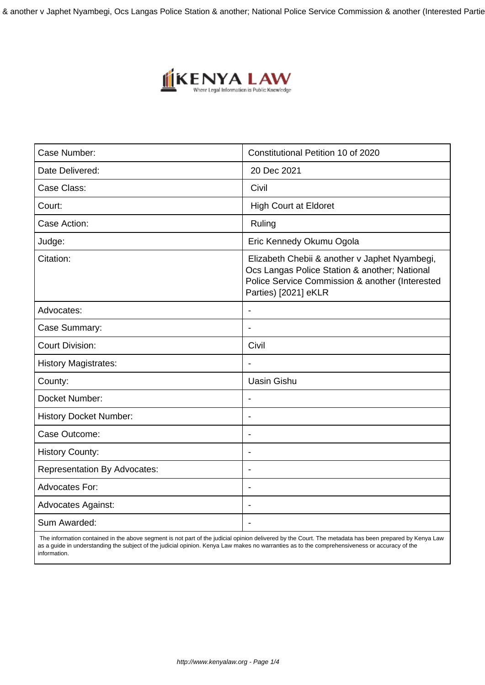& another v Japhet Nyambegi, Ocs Langas Police Station & another; National Police Service Commission & another (Interested Partie



| Case Number:                        | Constitutional Petition 10 of 2020                                                                                                                                        |
|-------------------------------------|---------------------------------------------------------------------------------------------------------------------------------------------------------------------------|
| Date Delivered:                     | 20 Dec 2021                                                                                                                                                               |
| Case Class:                         | Civil                                                                                                                                                                     |
| Court:                              | <b>High Court at Eldoret</b>                                                                                                                                              |
| Case Action:                        | Ruling                                                                                                                                                                    |
| Judge:                              | Eric Kennedy Okumu Ogola                                                                                                                                                  |
| Citation:                           | Elizabeth Chebii & another v Japhet Nyambegi,<br>Ocs Langas Police Station & another; National<br>Police Service Commission & another (Interested<br>Parties) [2021] eKLR |
| Advocates:                          | $\blacksquare$                                                                                                                                                            |
| Case Summary:                       |                                                                                                                                                                           |
| <b>Court Division:</b>              | Civil                                                                                                                                                                     |
| <b>History Magistrates:</b>         |                                                                                                                                                                           |
| County:                             | <b>Uasin Gishu</b>                                                                                                                                                        |
| Docket Number:                      |                                                                                                                                                                           |
| <b>History Docket Number:</b>       | $\blacksquare$                                                                                                                                                            |
| Case Outcome:                       | $\overline{\phantom{a}}$                                                                                                                                                  |
| <b>History County:</b>              | ÷                                                                                                                                                                         |
| <b>Representation By Advocates:</b> |                                                                                                                                                                           |
| <b>Advocates For:</b>               | $\overline{\phantom{a}}$                                                                                                                                                  |
| <b>Advocates Against:</b>           |                                                                                                                                                                           |
| Sum Awarded:                        |                                                                                                                                                                           |

 The information contained in the above segment is not part of the judicial opinion delivered by the Court. The metadata has been prepared by Kenya Law as a guide in understanding the subject of the judicial opinion. Kenya Law makes no warranties as to the comprehensiveness or accuracy of the information.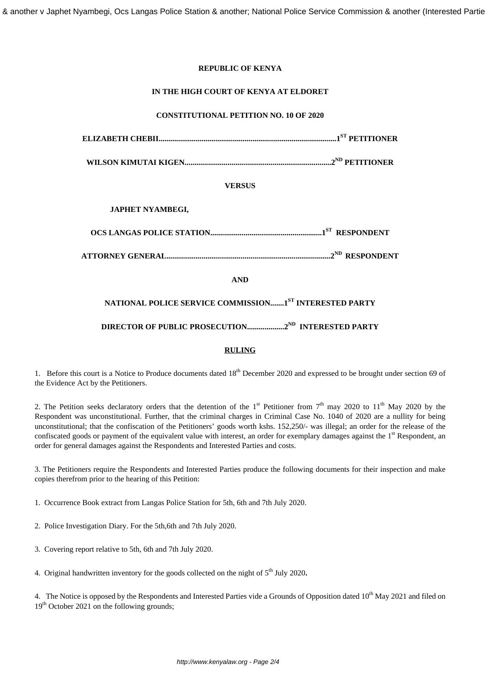#### **REPUBLIC OF KENYA**

#### **IN THE HIGH COURT OF KENYA AT ELDORET**

## **CONSTITUTIONAL PETITION NO. 10 OF 2020**

**ELIZABETH CHEBII...........................................................................................1ST PETITIONER**

**WILSON KIMUTAI KIGEN...........................................................................2ND PETITIONER**

#### **VERSUS**

### **JAPHET NYAMBEGI,**

**OCS LANGAS POLICE STATION.........................................................1ST RESPONDENT**

**ATTORNEY GENERAL....................................................................................2ND RESPONDENT**

#### **AND**

## **NATIONAL POLICE SERVICE COMMISSION.......1ST INTERESTED PARTY**

## **DIRECTOR OF PUBLIC PROSECUTION...................2ND INTERESTED PARTY**

#### **RULING**

1. Before this court is a Notice to Produce documents dated 18<sup>th</sup> December 2020 and expressed to be brought under section 69 of the Evidence Act by the Petitioners.

2. The Petition seeks declaratory orders that the detention of the 1<sup>st</sup> Petitioner from  $7<sup>th</sup>$  may 2020 to 11<sup>th</sup> May 2020 by the Respondent was unconstitutional. Further, that the criminal charges in Criminal Case No. 1040 of 2020 are a nullity for being unconstitutional; that the confiscation of the Petitioners' goods worth kshs. 152,250/- was illegal; an order for the release of the confiscated goods or payment of the equivalent value with interest, an order for exemplary damages against the  $1<sup>st</sup>$  Respondent, an order for general damages against the Respondents and Interested Parties and costs.

3. The Petitioners require the Respondents and Interested Parties produce the following documents for their inspection and make copies therefrom prior to the hearing of this Petition:

1. Occurrence Book extract from Langas Police Station for 5th, 6th and 7th July 2020.

- 2. Police Investigation Diary. For the 5th,6th and 7th July 2020.
- 3. Covering report relative to 5th, 6th and 7th July 2020.
- 4. Original handwritten inventory for the goods collected on the night of 5<sup>th</sup> July 2020.

4. The Notice is opposed by the Respondents and Interested Parties vide a Grounds of Opposition dated 10<sup>th</sup> May 2021 and filed on 19<sup>th</sup> October 2021 on the following grounds;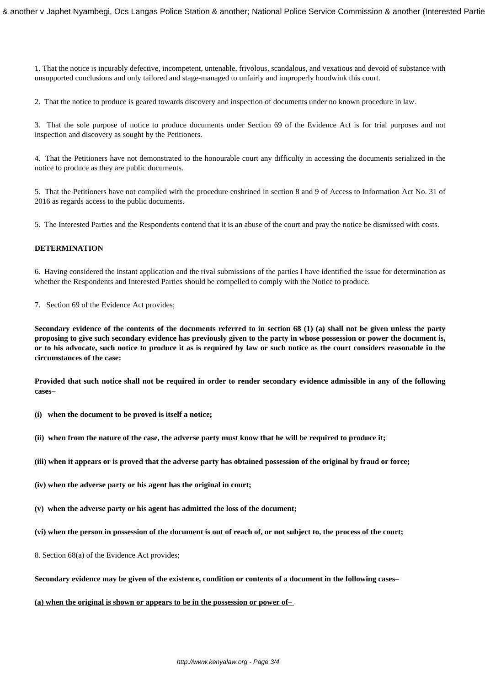1. That the notice is incurably defective, incompetent, untenable, frivolous, scandalous, and vexatious and devoid of substance with unsupported conclusions and only tailored and stage-managed to unfairly and improperly hoodwink this court.

2. That the notice to produce is geared towards discovery and inspection of documents under no known procedure in law.

3. That the sole purpose of notice to produce documents under Section 69 of the Evidence Act is for trial purposes and not inspection and discovery as sought by the Petitioners.

4. That the Petitioners have not demonstrated to the honourable court any difficulty in accessing the documents serialized in the notice to produce as they are public documents.

5. That the Petitioners have not complied with the procedure enshrined in section 8 and 9 of Access to Information Act No. 31 of 2016 as regards access to the public documents.

5. The Interested Parties and the Respondents contend that it is an abuse of the court and pray the notice be dismissed with costs.

#### **DETERMINATION**

6. Having considered the instant application and the rival submissions of the parties I have identified the issue for determination as whether the Respondents and Interested Parties should be compelled to comply with the Notice to produce.

7. Section 69 of the Evidence Act provides;

**Secondary evidence of the contents of the documents referred to in section 68 (1) (a) shall not be given unless the party proposing to give such secondary evidence has previously given to the party in whose possession or power the document is, or to his advocate, such notice to produce it as is required by law or such notice as the court considers reasonable in the circumstances of the case:** 

**Provided that such notice shall not be required in order to render secondary evidence admissible in any of the following cases–** 

- **(i) when the document to be proved is itself a notice;**
- **(ii) when from the nature of the case, the adverse party must know that he will be required to produce it;**
- **(iii) when it appears or is proved that the adverse party has obtained possession of the original by fraud or force;**
- **(iv) when the adverse party or his agent has the original in court;**
- **(v) when the adverse party or his agent has admitted the loss of the document;**
- **(vi) when the person in possession of the document is out of reach of, or not subject to, the process of the court;**
- 8. Section 68(a) of the Evidence Act provides;

**Secondary evidence may be given of the existence, condition or contents of a document in the following cases–** 

**(a) when the original is shown or appears to be in the possession or power of–**